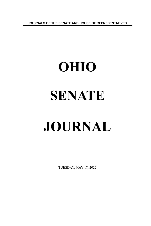**JOURNALS OF THE SENATE AND HOUSE OF REPRESENTATIVES**

# **OHIO SENATE JOURNAL**

TUESDAY, MAY 17, 2022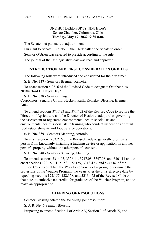## ONE HUNDRED FORTY-NINTH DAY Senate Chamber, Columbus, Ohio **Tuesday, May 17, 2022, 9:30 a.m.**

The Senate met pursuant to adjournment.

Pursuant to Senate Rule No. 3, the Clerk called the Senate to order.

Senator O'Brien was selected to preside according to the rule.

The journal of the last legislative day was read and approved.

#### **INTRODUCTION AND FIRST CONSIDERATION OF BILLS**

The following bills were introduced and considered for the first time:

**S. B. No. 337 -** Senators Brenner, Reineke.

To enact section 5.2316 of the Revised Code to designate October 4 as "Rutherford B. Hayes Day."

**S. B. No. 338 -** Senator Lang. Cosponsors: Senators Cirino, Hackett, Rulli, Reineke, Blessing, Brenner, Antani.

To amend sections 3717.33 and 3717.52 of the Revised Code to require the Director of Agriculture and the Director of Health to adopt rules governing the assessment of registered environmental health specialists and environmental health specialists in training who conduct inspections of retail food establishments and food service operations.

**S. B. No. 339 -** Senators Manning, Antonio.

To enact section 2903.216 of the Revised Code to generally prohibit a person from knowingly installing a tracking device or application on another person's property without the other person's consent.

**S. B. No. 340 -** Senators Schuring, Manning.

To amend sections 3314.03, 3326.11, 5747.08, 5747.98, and 6301.11 and to enact sections 122.157, 122.158, 122.159, 3313.473, and 5747.82 of the Revised Code to establish the Workforce Voucher Program, to terminate the provisions of the Voucher Program two years after the bill's effective date by repealing sections 122.157, 122.158, and 3313.473 of the Revised Code on that date, to authorize tax credits for graduates of the Voucher Program, and to make an appropriation.

#### **OFFERING OF RESOLUTIONS**

Senator Blessing offered the following joint resolution:

**S. J. R. No. 6**-Senator Blessing.

Proposing to amend Section 1 of Article V, Section 3 of Article X, and